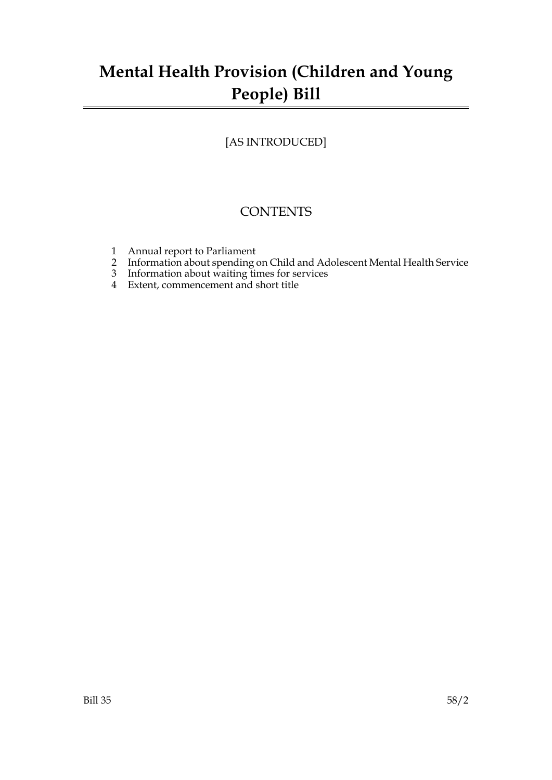# **Mental Health Provision (Children and Young People) Bill**

## [AS INTRODUCED]

# **CONTENTS**

- 1 Annual report to Parliament
- 2 Information about spending on Child and Adolescent Mental Health Service
- 3 Information about waiting times for services
- 4 Extent, commencement and short title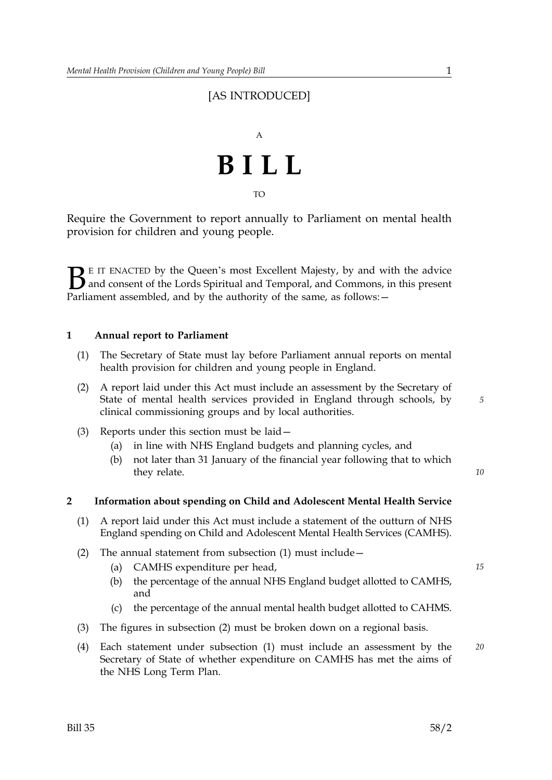## [AS INTRODUCED]



Require the Government to report annually to Parliament on mental health provision for children and young people.

 $\sum$  E IT ENACTED by the Queen's most Excellent Majesty, by and with the advice<br>and consent of the Lords Spiritual and Temporal, and Commons, in this present<br>Parliament assembled, and by the authority of the same as follo and consent of the Lords Spiritual and Temporal, and Commons, in this present Parliament assembled, and by the authority of the same, as follows: -

#### **1 Annual report to Parliament**

- (1) The Secretary of State must lay before Parliament annual reports on mental health provision for children and young people in England.
- (2) A report laid under this Act must include an assessment by the Secretary of State of mental health services provided in England through schools, by clinical commissioning groups and by local authorities.
- (3) Reports under this section must be laid—
	- (a) in line with NHS England budgets and planning cycles, and
	- (b) not later than 31 January of the financial year following that to which they relate.

*10*

*5*

#### **2 Information about spending on Child and Adolescent Mental Health Service**

- (1) A report laid under this Act must include a statement of the outturn of NHS England spending on Child and Adolescent Mental Health Services (CAMHS).
- (2) The annual statement from subsection (1) must include—
	- (a) CAMHS expenditure per head, *15*
	- (b) the percentage of the annual NHS England budget allotted to CAMHS, and
	- (c) the percentage of the annual mental health budget allotted to CAHMS.
- (3) The figures in subsection (2) must be broken down on a regional basis.
- (4) Each statement under subsection (1) must include an assessment by the *20* Secretary of State of whether expenditure on CAMHS has met the aims of the NHS Long Term Plan.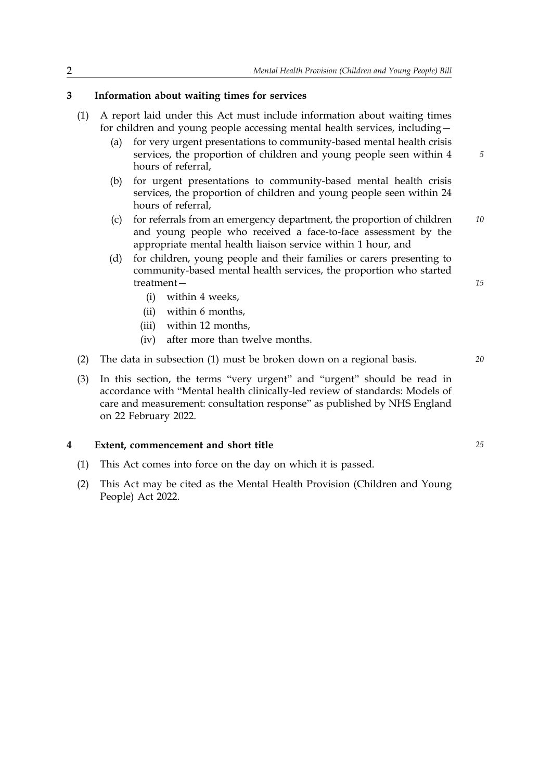#### **3 Information about waiting times for services**

- (1) A report laid under this Act must include information about waiting times for children and young people accessing mental health services, including—
	- $(a)$ for very urgent presentations to community-based mental health crisis services, the proportion of children and young people seen within 4 hours of referral,
	- (b) for urgent presentations to community-based mental health crisis services, the proportion of children and young people seen within 24 hours of referral,
	- (c) for referrals from an emergency department, the proportion of children *10* and young people who received a face-to-face assessment by the appropriate mental health liaison service within 1 hour, and
	- (d) for children, young people and their families or carers presenting to community-based mental health services, the proportion who started treatment—
		- (i) within 4 weeks,
		- (ii) within 6 months,
		- (iii) within 12 months,
		- (iv) after more than twelve months.
- (2) The data in subsection (1) must be broken down on a regional basis. *20*
- (3) In this section, the terms "very urgent" and "urgent" should be read in accordance with "Mental health clinically-led review of standards: Models of care and measurement: consultation response" as published by NHS England on 22 February 2022.

#### **4 Extent, commencement and short title** *25*

- (1) This Act comes into force on the day on which it is passed.
- (2) This Act may be cited as the Mental Health Provision (Children and Young People) Act 2022.

*15*

*5*